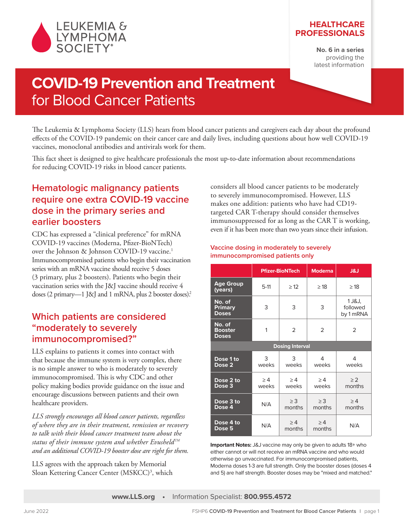

## **HEALTHCARE PROFESSIONALS**

**No. 6 in a series**  providing the latest information

# **COVID-19 Prevention and Treatment**  for Blood Cancer Patients

The Leukemia & Lymphoma Society (LLS) hears from blood cancer patients and caregivers each day about the profound effects of the COVID-19 pandemic on their cancer care and daily lives, including questions about how well COVID-19 vaccines, monoclonal antibodies and antivirals work for them.

This fact sheet is designed to give healthcare professionals the most up-to-date information about recommendations for reducing COVID-19 risks in blood cancer patients.

# **Hematologic malignancy patients require one extra COVID-19 vaccine dose in the primary series and earlier boosters**

CDC has expressed a "clinical preference" for mRNA COVID-19 vaccines (Moderna, Pfizer-BioNTech) over the Johnson & Johnson COVID-19 vaccine.<sup>1</sup> Immunocompromised patients who begin their vaccination series with an mRNA vaccine should receive 5 doses (3 primary, plus 2 boosters). Patients who begin their vaccination series with the J&J vaccine should receive 4 doses (2 primary—1 J&J and 1 mRNA, plus 2 booster doses).<sup>2</sup>

# **Which patients are considered "moderately to severely immunocompromised?"**

LLS explains to patients it comes into contact with that because the immune system is very complex, there is no simple answer to who is moderately to severely immunocompromised. This is why CDC and other policy making bodies provide guidance on the issue and encourage discussions between patients and their own healthcare providers.

*LLS strongly encourages all blood cancer patients, regardless of where they are in their treatment, remission or recovery to talk with their blood cancer treatment team about the status of their immune system and whether EvusheldTM and an additional COVID-19 booster dose are right for them.*

LLS agrees with the approach taken by Memorial Sloan Kettering Cancer Center (MSKCC)<sup>3</sup>, which considers all blood cancer patients to be moderately to severely immunocompromised. However, LLS makes one addition: patients who have had CD19 targeted CAR T-therapy should consider themselves immunosuppressed for as long as the CAR T is working, even if it has been more than two years since their infusion.

## **Vaccine dosing in moderately to severely immunocompromised patients only**

|                                          | <b>Pfizer-BioNTech</b> |                    | <b>Moderna</b>     | <b>L&amp;L</b>                  |
|------------------------------------------|------------------------|--------------------|--------------------|---------------------------------|
| <b>Age Group</b><br>(years)              | $5-11$                 | $\geq$ 12          | $\geq$ 18          | $\geq$ 18                       |
| No. of<br>Primary<br><b>Doses</b>        | 3                      | 3                  | 3                  | 1 J&J,<br>followed<br>by 1 mRNA |
| No. of<br><b>Booster</b><br><b>Doses</b> | 1                      | 2                  | $\overline{2}$     | $\overline{2}$                  |
| <b>Dosing Interval</b>                   |                        |                    |                    |                                 |
| Dose 1 to<br>Dose <sub>2</sub>           | 3<br>weeks             | 3<br>weeks         | 4<br>weeks         | 4<br>weeks                      |
| Dose 2 to<br>Dose <sub>3</sub>           | $\geq 4$<br>weeks      | $\geq 4$<br>weeks  | $\geq 4$<br>weeks  | $\geq$ 2<br>months              |
| Dose 3 to<br>Dose 4                      | N/A                    | $\geq$ 3<br>months | $\geq$ 3<br>months | >4<br>months                    |
| Dose 4 to<br>Dose 5                      | N/A                    | >4<br>months       | >4<br>months       | N/A                             |

**Important Notes:** J&J vaccine may only be given to adults 18+ who either cannot or will not receive an mRNA vaccine and who would otherwise go unvaccinated. For immunocompromised patients, Moderna doses 1-3 are full strength. Only the booster doses (doses 4 and 5) are half strength. Booster doses may be "mixed and matched."

**www.LLS.org •** Information Specialist: **800.955.4572**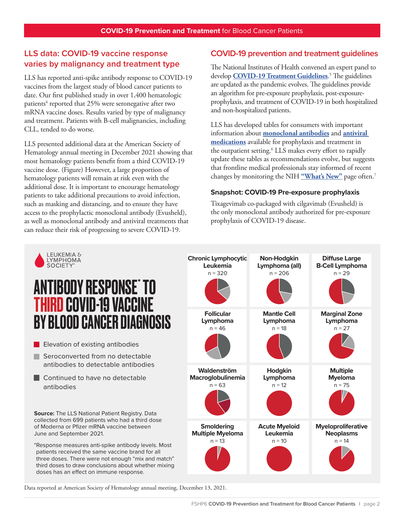# **LLS data: COVID-19 vaccine response varies by malignancy and treatment type**

LLS has reported anti-spike antibody response to COVID-19 vaccines from the largest study of blood cancer patients to date. Our first published study in over 1,400 hematologic patients<sup>4</sup> reported that 25% were seronegative after two mRNA vaccine doses. Results varied by type of malignancy and treatment. Patients with B-cell malignancies, including CLL, tended to do worse.

LLS presented additional data at the American Society of Hematology annual meeting in December 2021 showing that most hematology patients benefit from a third COVID-19 vaccine dose. (Figure) However, a large proportion of hematology patients will remain at risk even with the additional dose. It is important to encourage hematology patients to take additional precautions to avoid infection, such as masking and distancing, and to ensure they have access to the prophylactic monoclonal antibody (Evusheld), as well as monoclonal antibody and antiviral treatments that can reduce their risk of progressing to severe COVID-19.

# **COVID-19 prevention and treatment guidelines**

The National Institutes of Health convened an expert panel to develop **[COVID-19 Treatment Guidelines](https://www.covid19treatmentguidelines.nih.gov/about-the-guidelines/whats-new/)**. 5 The guidelines are updated as the pandemic evolves. The guidelines provide an algorithm for pre-exposure prophylaxis, post-exposureprophylaxis, and treatment of COVID-19 in both hospitalized and non-hospitalized patients.

LLS has developed tables for consumers with important information about **[monoclonal antibodies](https://www.lls.org/sites/default/files/2022-03/Monocolonal%20Antibody%20Therapies.pdf)** and **[antiviral](https://www.lls.org/sites/default/files/2022-01/Covid_Antiviral_Table_printable.pdf)  [medications](https://www.lls.org/sites/default/files/2022-01/Covid_Antiviral_Table_printable.pdf)** available for prophylaxis and treatment in the outpatient setting.6 LLS makes every effort to rapidly update these tables as recommendations evolve, but suggests that frontline medical professionals stay informed of recent changes by monitoring the NIH **["What's New"](https://www.covid19treatmentguidelines.nih.gov/about-the-guidelines/whats-new/)** page often.7

#### **Snapshot: COVID-19 Pre-exposure prophylaxis**

Tixagevimab co-packaged with cilgavimab (Evusheld) is the only monoclonal antibody authorized for pre-exposure prophylaxis of COVID-19 disease.



Data reported at American Society of Hematology annual meeting, December 13, 2021.